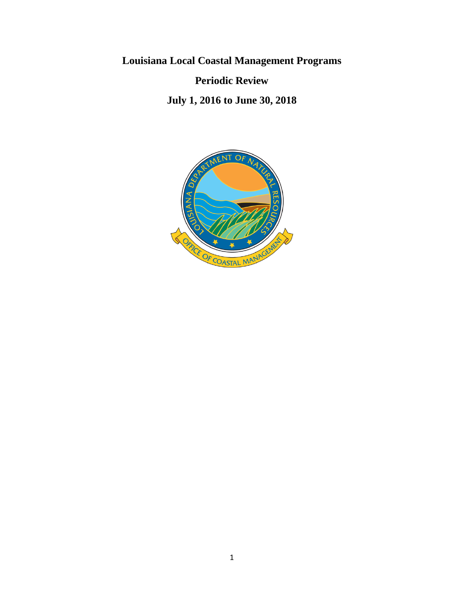**Louisiana Local Coastal Management Programs**

**Periodic Review July 1, 2016 to June 30, 2018**

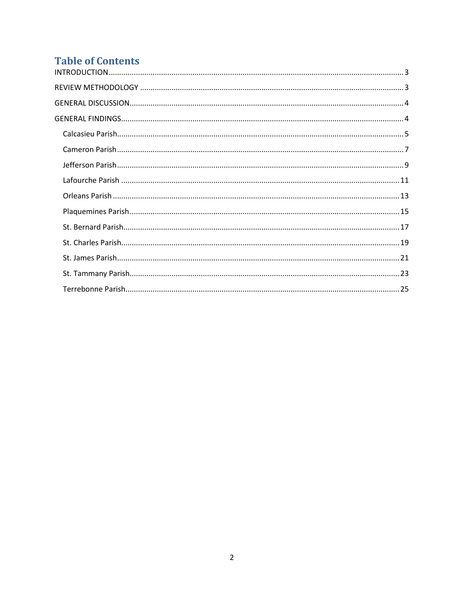# **Table of Contents**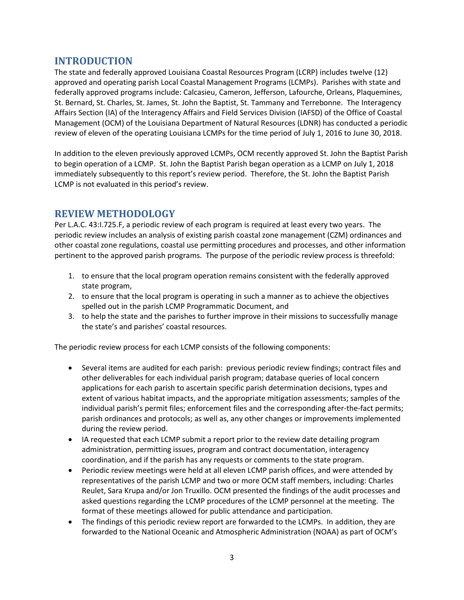## <span id="page-2-0"></span>**INTRODUCTION**

The state and federally approved Louisiana Coastal Resources Program (LCRP) includes twelve (12) approved and operating parish Local Coastal Management Programs (LCMPs). Parishes with state and federally approved programs include: Calcasieu, Cameron, Jefferson, Lafourche, Orleans, Plaquemines, St. Bernard, St. Charles, St. James, St. John the Baptist, St. Tammany and Terrebonne. The Interagency Affairs Section (IA) of the Interagency Affairs and Field Services Division (IAFSD) of the Office of Coastal Management (OCM) of the Louisiana Department of Natural Resources (LDNR) has conducted a periodic review of eleven of the operating Louisiana LCMPs for the time period of July 1, 2016 to June 30, 2018.

In addition to the eleven previously approved LCMPs, OCM recently approved St. John the Baptist Parish to begin operation of a LCMP. St. John the Baptist Parish began operation as a LCMP on July 1, 2018 immediately subsequently to this report's review period. Therefore, the St. John the Baptist Parish LCMP is not evaluated in this period's review.

## <span id="page-2-1"></span>**REVIEW METHODOLOGY**

Per L.A.C. 43:I.725.F, a periodic review of each program is required at least every two years. The periodic review includes an analysis of existing parish coastal zone management (CZM) ordinances and other coastal zone regulations, coastal use permitting procedures and processes, and other information pertinent to the approved parish programs. The purpose of the periodic review process is threefold:

- 1. to ensure that the local program operation remains consistent with the federally approved state program,
- 2. to ensure that the local program is operating in such a manner as to achieve the objectives spelled out in the parish LCMP Programmatic Document, and
- 3. to help the state and the parishes to further improve in their missions to successfully manage the state's and parishes' coastal resources.

The periodic review process for each LCMP consists of the following components:

- Several items are audited for each parish: previous periodic review findings; contract files and other deliverables for each individual parish program; database queries of local concern applications for each parish to ascertain specific parish determination decisions, types and extent of various habitat impacts, and the appropriate mitigation assessments; samples of the individual parish's permit files; enforcement files and the corresponding after-the-fact permits; parish ordinances and protocols; as well as, any other changes or improvements implemented during the review period.
- IA requested that each LCMP submit a report prior to the review date detailing program administration, permitting issues, program and contract documentation, interagency coordination, and if the parish has any requests or comments to the state program.
- Periodic review meetings were held at all eleven LCMP parish offices, and were attended by representatives of the parish LCMP and two or more OCM staff members, including: Charles Reulet, Sara Krupa and/or Jon Truxillo. OCM presented the findings of the audit processes and asked questions regarding the LCMP procedures of the LCMP personnel at the meeting. The format of these meetings allowed for public attendance and participation.
- The findings of this periodic review report are forwarded to the LCMPs. In addition, they are forwarded to the National Oceanic and Atmospheric Administration (NOAA) as part of OCM's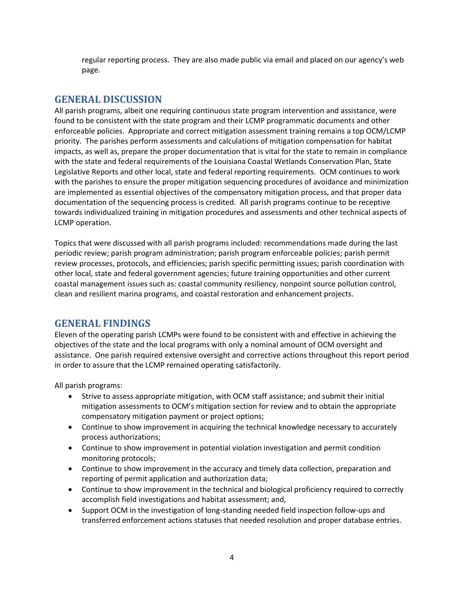regular reporting process. They are also made public via email and placed on our agency's web page.

## <span id="page-3-0"></span>**GENERAL DISCUSSION**

All parish programs, albeit one requiring continuous state program intervention and assistance, were found to be consistent with the state program and their LCMP programmatic documents and other enforceable policies. Appropriate and correct mitigation assessment training remains a top OCM/LCMP priority. The parishes perform assessments and calculations of mitigation compensation for habitat impacts, as well as, prepare the proper documentation that is vital for the state to remain in compliance with the state and federal requirements of the Louisiana Coastal Wetlands Conservation Plan, State Legislative Reports and other local, state and federal reporting requirements. OCM continues to work with the parishes to ensure the proper mitigation sequencing procedures of avoidance and minimization are implemented as essential objectives of the compensatory mitigation process, and that proper data documentation of the sequencing process is credited. All parish programs continue to be receptive towards individualized training in mitigation procedures and assessments and other technical aspects of LCMP operation.

Topics that were discussed with all parish programs included: recommendations made during the last periodic review; parish program administration; parish program enforceable policies; parish permit review processes, protocols, and efficiencies; parish specific permitting issues; parish coordination with other local, state and federal government agencies; future training opportunities and other current coastal management issues such as: coastal community resiliency, nonpoint source pollution control, clean and resilient marina programs, and coastal restoration and enhancement projects.

## <span id="page-3-1"></span>**GENERAL FINDINGS**

Eleven of the operating parish LCMPs were found to be consistent with and effective in achieving the objectives of the state and the local programs with only a nominal amount of OCM oversight and assistance. One parish required extensive oversight and corrective actions throughout this report period in order to assure that the LCMP remained operating satisfactorily.

All parish programs:

- Strive to assess appropriate mitigation, with OCM staff assistance; and submit their initial mitigation assessments to OCM's mitigation section for review and to obtain the appropriate compensatory mitigation payment or project options;
- Continue to show improvement in acquiring the technical knowledge necessary to accurately process authorizations;
- Continue to show improvement in potential violation investigation and permit condition monitoring protocols;
- Continue to show improvement in the accuracy and timely data collection, preparation and reporting of permit application and authorization data;
- Continue to show improvement in the technical and biological proficiency required to correctly accomplish field investigations and habitat assessment; and,
- Support OCM in the investigation of long-standing needed field inspection follow-ups and transferred enforcement actions statuses that needed resolution and proper database entries.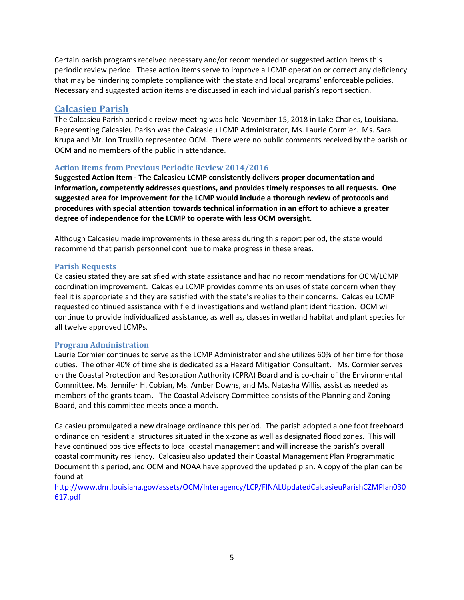Certain parish programs received necessary and/or recommended or suggested action items this periodic review period. These action items serve to improve a LCMP operation or correct any deficiency that may be hindering complete compliance with the state and local programs' enforceable policies. Necessary and suggested action items are discussed in each individual parish's report section.

## <span id="page-4-0"></span>**Calcasieu Parish**

The Calcasieu Parish periodic review meeting was held November 15, 2018 in Lake Charles, Louisiana. Representing Calcasieu Parish was the Calcasieu LCMP Administrator, Ms. Laurie Cormier. Ms. Sara Krupa and Mr. Jon Truxillo represented OCM. There were no public comments received by the parish or OCM and no members of the public in attendance.

## **Action Items from Previous Periodic Review 2014/2016**

**Suggested Action Item - The Calcasieu LCMP consistently delivers proper documentation and information, competently addresses questions, and provides timely responses to all requests. One suggested area for improvement for the LCMP would include a thorough review of protocols and procedures with special attention towards technical information in an effort to achieve a greater degree of independence for the LCMP to operate with less OCM oversight.** 

Although Calcasieu made improvements in these areas during this report period, the state would recommend that parish personnel continue to make progress in these areas.

## **Parish Requests**

Calcasieu stated they are satisfied with state assistance and had no recommendations for OCM/LCMP coordination improvement. Calcasieu LCMP provides comments on uses of state concern when they feel it is appropriate and they are satisfied with the state's replies to their concerns. Calcasieu LCMP requested continued assistance with field investigations and wetland plant identification. OCM will continue to provide individualized assistance, as well as, classes in wetland habitat and plant species for all twelve approved LCMPs.

## **Program Administration**

Laurie Cormier continues to serve as the LCMP Administrator and she utilizes 60% of her time for those duties. The other 40% of time she is dedicated as a Hazard Mitigation Consultant. Ms. Cormier serves on the Coastal Protection and Restoration Authority (CPRA) Board and is co-chair of the Environmental Committee. Ms. Jennifer H. Cobian, Ms. Amber Downs, and Ms. Natasha Willis, assist as needed as members of the grants team. The Coastal Advisory Committee consists of the Planning and Zoning Board, and this committee meets once a month.

Calcasieu promulgated a new drainage ordinance this period. The parish adopted a one foot freeboard ordinance on residential structures situated in the x-zone as well as designated flood zones. This will have continued positive effects to local coastal management and will increase the parish's overall coastal community resiliency. Calcasieu also updated their Coastal Management Plan Programmatic Document this period, and OCM and NOAA have approved the updated plan. A copy of the plan can be found at

[http://www.dnr.louisiana.gov/assets/OCM/Interagency/LCP/FINALUpdatedCalcasieuParishCZMPlan030](http://www.dnr.louisiana.gov/assets/OCM/Interagency/LCP/FINALUpdatedCalcasieuParishCZMPlan030617.pdf) [617.pdf](http://www.dnr.louisiana.gov/assets/OCM/Interagency/LCP/FINALUpdatedCalcasieuParishCZMPlan030617.pdf)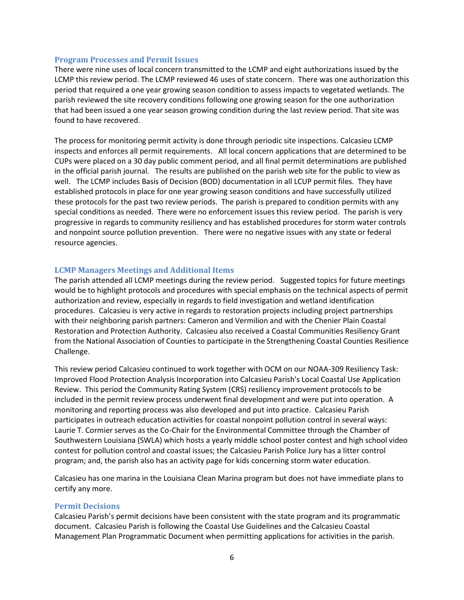#### **Program Processes and Permit Issues**

There were nine uses of local concern transmitted to the LCMP and eight authorizations issued by the LCMP this review period. The LCMP reviewed 46 uses of state concern. There was one authorization this period that required a one year growing season condition to assess impacts to vegetated wetlands. The parish reviewed the site recovery conditions following one growing season for the one authorization that had been issued a one year season growing condition during the last review period. That site was found to have recovered.

The process for monitoring permit activity is done through periodic site inspections. Calcasieu LCMP inspects and enforces all permit requirements. All local concern applications that are determined to be CUPs were placed on a 30 day public comment period, and all final permit determinations are published in the official parish journal. The results are published on the parish web site for the public to view as well. The LCMP includes Basis of Decision (BOD) documentation in all LCUP permit files. They have established protocols in place for one year growing season conditions and have successfully utilized these protocols for the past two review periods. The parish is prepared to condition permits with any special conditions as needed. There were no enforcement issues this review period. The parish is very progressive in regards to community resiliency and has established procedures for storm water controls and nonpoint source pollution prevention. There were no negative issues with any state or federal resource agencies.

## **LCMP Managers Meetings and Additional Items**

The parish attended all LCMP meetings during the review period. Suggested topics for future meetings would be to highlight protocols and procedures with special emphasis on the technical aspects of permit authorization and review, especially in regards to field investigation and wetland identification procedures. Calcasieu is very active in regards to restoration projects including project partnerships with their neighboring parish partners: Cameron and Vermilion and with the Chenier Plain Coastal Restoration and Protection Authority. Calcasieu also received a Coastal Communities Resiliency Grant from the National Association of Counties to participate in the Strengthening Coastal Counties Resilience Challenge.

This review period Calcasieu continued to work together with OCM on our NOAA-309 Resiliency Task: Improved Flood Protection Analysis Incorporation into Calcasieu Parish's Local Coastal Use Application Review. This period the Community Rating System (CRS) resiliency improvement protocols to be included in the permit review process underwent final development and were put into operation. A monitoring and reporting process was also developed and put into practice. Calcasieu Parish participates in outreach education activities for coastal nonpoint pollution control in several ways: Laurie T. Cormier serves as the Co-Chair for the Environmental Committee through the Chamber of Southwestern Louisiana (SWLA) which hosts a yearly middle school poster contest and high school video contest for pollution control and coastal issues; the Calcasieu Parish Police Jury has a litter control program; and, the parish also has an activity page for kids concerning storm water education.

Calcasieu has one marina in the Louisiana Clean Marina program but does not have immediate plans to certify any more.

#### **Permit Decisions**

Calcasieu Parish's permit decisions have been consistent with the state program and its programmatic document. Calcasieu Parish is following the Coastal Use Guidelines and the Calcasieu Coastal Management Plan Programmatic Document when permitting applications for activities in the parish.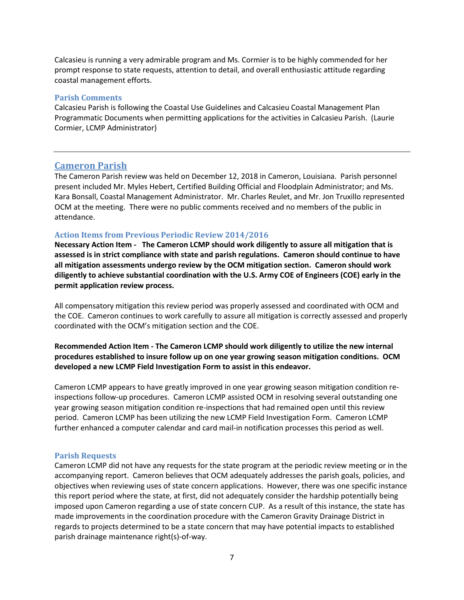Calcasieu is running a very admirable program and Ms. Cormier is to be highly commended for her prompt response to state requests, attention to detail, and overall enthusiastic attitude regarding coastal management efforts.

#### **Parish Comments**

Calcasieu Parish is following the Coastal Use Guidelines and Calcasieu Coastal Management Plan Programmatic Documents when permitting applications for the activities in Calcasieu Parish. (Laurie Cormier, LCMP Administrator)

## <span id="page-6-0"></span>**Cameron Parish**

The Cameron Parish review was held on December 12, 2018 in Cameron, Louisiana. Parish personnel present included Mr. Myles Hebert, Certified Building Official and Floodplain Administrator; and Ms. Kara Bonsall, Coastal Management Administrator. Mr. Charles Reulet, and Mr. Jon Truxillo represented OCM at the meeting. There were no public comments received and no members of the public in attendance.

#### **Action Items from Previous Periodic Review 2014/2016**

**Necessary Action Item - The Cameron LCMP should work diligently to assure all mitigation that is assessed is in strict compliance with state and parish regulations. Cameron should continue to have all mitigation assessments undergo review by the OCM mitigation section. Cameron should work diligently to achieve substantial coordination with the U.S. Army COE of Engineers (COE) early in the permit application review process.** 

All compensatory mitigation this review period was properly assessed and coordinated with OCM and the COE. Cameron continues to work carefully to assure all mitigation is correctly assessed and properly coordinated with the OCM's mitigation section and the COE.

## **Recommended Action Item - The Cameron LCMP should work diligently to utilize the new internal procedures established to insure follow up on one year growing season mitigation conditions. OCM developed a new LCMP Field Investigation Form to assist in this endeavor.**

Cameron LCMP appears to have greatly improved in one year growing season mitigation condition reinspections follow-up procedures. Cameron LCMP assisted OCM in resolving several outstanding one year growing season mitigation condition re-inspections that had remained open until this review period. Cameron LCMP has been utilizing the new LCMP Field Investigation Form. Cameron LCMP further enhanced a computer calendar and card mail-in notification processes this period as well.

#### **Parish Requests**

Cameron LCMP did not have any requests for the state program at the periodic review meeting or in the accompanying report. Cameron believes that OCM adequately addresses the parish goals, policies, and objectives when reviewing uses of state concern applications. However, there was one specific instance this report period where the state, at first, did not adequately consider the hardship potentially being imposed upon Cameron regarding a use of state concern CUP. As a result of this instance, the state has made improvements in the coordination procedure with the Cameron Gravity Drainage District in regards to projects determined to be a state concern that may have potential impacts to established parish drainage maintenance right(s)-of-way.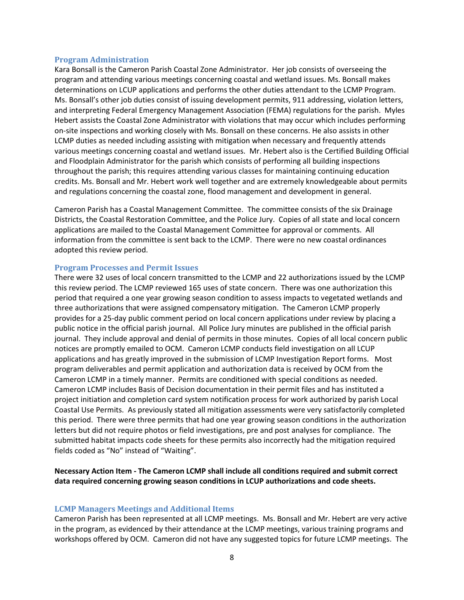#### **Program Administration**

Kara Bonsall is the Cameron Parish Coastal Zone Administrator. Her job consists of overseeing the program and attending various meetings concerning coastal and wetland issues. Ms. Bonsall makes determinations on LCUP applications and performs the other duties attendant to the LCMP Program. Ms. Bonsall's other job duties consist of issuing development permits, 911 addressing, violation letters, and interpreting Federal Emergency Management Association (FEMA) regulations for the parish. Myles Hebert assists the Coastal Zone Administrator with violations that may occur which includes performing on-site inspections and working closely with Ms. Bonsall on these concerns. He also assists in other LCMP duties as needed including assisting with mitigation when necessary and frequently attends various meetings concerning coastal and wetland issues. Mr. Hebert also is the Certified Building Official and Floodplain Administrator for the parish which consists of performing all building inspections throughout the parish; this requires attending various classes for maintaining continuing education credits. Ms. Bonsall and Mr. Hebert work well together and are extremely knowledgeable about permits and regulations concerning the coastal zone, flood management and development in general.

Cameron Parish has a Coastal Management Committee. The committee consists of the six Drainage Districts, the Coastal Restoration Committee, and the Police Jury. Copies of all state and local concern applications are mailed to the Coastal Management Committee for approval or comments. All information from the committee is sent back to the LCMP. There were no new coastal ordinances adopted this review period.

#### **Program Processes and Permit Issues**

There were 32 uses of local concern transmitted to the LCMP and 22 authorizations issued by the LCMP this review period. The LCMP reviewed 165 uses of state concern. There was one authorization this period that required a one year growing season condition to assess impacts to vegetated wetlands and three authorizations that were assigned compensatory mitigation. The Cameron LCMP properly provides for a 25-day public comment period on local concern applications under review by placing a public notice in the official parish journal. All Police Jury minutes are published in the official parish journal. They include approval and denial of permits in those minutes. Copies of all local concern public notices are promptly emailed to OCM. Cameron LCMP conducts field investigation on all LCUP applications and has greatly improved in the submission of LCMP Investigation Report forms. Most program deliverables and permit application and authorization data is received by OCM from the Cameron LCMP in a timely manner. Permits are conditioned with special conditions as needed. Cameron LCMP includes Basis of Decision documentation in their permit files and has instituted a project initiation and completion card system notification process for work authorized by parish Local Coastal Use Permits. As previously stated all mitigation assessments were very satisfactorily completed this period. There were three permits that had one year growing season conditions in the authorization letters but did not require photos or field investigations, pre and post analyses for compliance. The submitted habitat impacts code sheets for these permits also incorrectly had the mitigation required fields coded as "No" instead of "Waiting".

**Necessary Action Item - The Cameron LCMP shall include all conditions required and submit correct data required concerning growing season conditions in LCUP authorizations and code sheets.** 

#### **LCMP Managers Meetings and Additional Items**

Cameron Parish has been represented at all LCMP meetings. Ms. Bonsall and Mr. Hebert are very active in the program, as evidenced by their attendance at the LCMP meetings, various training programs and workshops offered by OCM. Cameron did not have any suggested topics for future LCMP meetings. The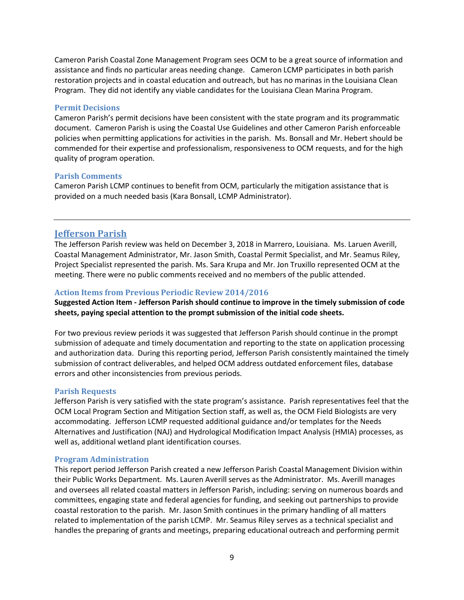Cameron Parish Coastal Zone Management Program sees OCM to be a great source of information and assistance and finds no particular areas needing change. Cameron LCMP participates in both parish restoration projects and in coastal education and outreach, but has no marinas in the Louisiana Clean Program. They did not identify any viable candidates for the Louisiana Clean Marina Program.

#### **Permit Decisions**

Cameron Parish's permit decisions have been consistent with the state program and its programmatic document. Cameron Parish is using the Coastal Use Guidelines and other Cameron Parish enforceable policies when permitting applications for activities in the parish. Ms. Bonsall and Mr. Hebert should be commended for their expertise and professionalism, responsiveness to OCM requests, and for the high quality of program operation.

#### **Parish Comments**

Cameron Parish LCMP continues to benefit from OCM, particularly the mitigation assistance that is provided on a much needed basis (Kara Bonsall, LCMP Administrator).

## <span id="page-8-0"></span>**Jefferson Parish**

The Jefferson Parish review was held on December 3, 2018 in Marrero, Louisiana. Ms. Laruen Averill, Coastal Management Administrator, Mr. Jason Smith, Coastal Permit Specialist, and Mr. Seamus Riley, Project Specialist represented the parish. Ms. Sara Krupa and Mr. Jon Truxillo represented OCM at the meeting. There were no public comments received and no members of the public attended.

## **Action Items from Previous Periodic Review 2014/2016**

**Suggested Action Item - Jefferson Parish should continue to improve in the timely submission of code sheets, paying special attention to the prompt submission of the initial code sheets.**

For two previous review periods it was suggested that Jefferson Parish should continue in the prompt submission of adequate and timely documentation and reporting to the state on application processing and authorization data. During this reporting period, Jefferson Parish consistently maintained the timely submission of contract deliverables, and helped OCM address outdated enforcement files, database errors and other inconsistencies from previous periods.

## **Parish Requests**

Jefferson Parish is very satisfied with the state program's assistance. Parish representatives feel that the OCM Local Program Section and Mitigation Section staff, as well as, the OCM Field Biologists are very accommodating. Jefferson LCMP requested additional guidance and/or templates for the Needs Alternatives and Justification (NAJ) and Hydrological Modification Impact Analysis (HMIA) processes, as well as, additional wetland plant identification courses.

## **Program Administration**

This report period Jefferson Parish created a new Jefferson Parish Coastal Management Division within their Public Works Department. Ms. Lauren Averill serves as the Administrator. Ms. Averill manages and oversees all related coastal matters in Jefferson Parish, including: serving on numerous boards and committees, engaging state and federal agencies for funding, and seeking out partnerships to provide coastal restoration to the parish. Mr. Jason Smith continues in the primary handling of all matters related to implementation of the parish LCMP. Mr. Seamus Riley serves as a technical specialist and handles the preparing of grants and meetings, preparing educational outreach and performing permit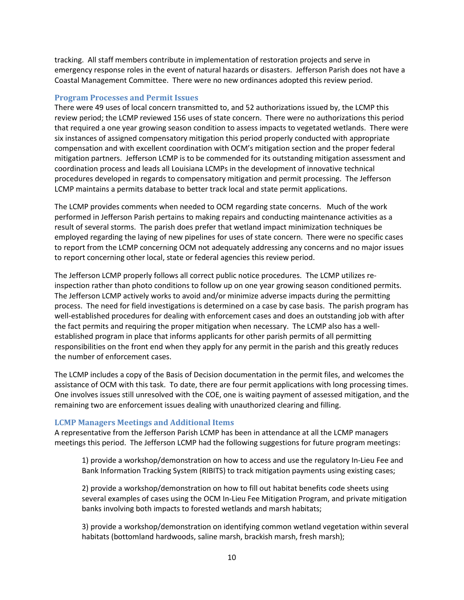tracking. All staff members contribute in implementation of restoration projects and serve in emergency response roles in the event of natural hazards or disasters. Jefferson Parish does not have a Coastal Management Committee. There were no new ordinances adopted this review period.

#### **Program Processes and Permit Issues**

There were 49 uses of local concern transmitted to, and 52 authorizations issued by, the LCMP this review period; the LCMP reviewed 156 uses of state concern. There were no authorizations this period that required a one year growing season condition to assess impacts to vegetated wetlands. There were six instances of assigned compensatory mitigation this period properly conducted with appropriate compensation and with excellent coordination with OCM's mitigation section and the proper federal mitigation partners. Jefferson LCMP is to be commended for its outstanding mitigation assessment and coordination process and leads all Louisiana LCMPs in the development of innovative technical procedures developed in regards to compensatory mitigation and permit processing. The Jefferson LCMP maintains a permits database to better track local and state permit applications.

The LCMP provides comments when needed to OCM regarding state concerns. Much of the work performed in Jefferson Parish pertains to making repairs and conducting maintenance activities as a result of several storms. The parish does prefer that wetland impact minimization techniques be employed regarding the laying of new pipelines for uses of state concern. There were no specific cases to report from the LCMP concerning OCM not adequately addressing any concerns and no major issues to report concerning other local, state or federal agencies this review period.

The Jefferson LCMP properly follows all correct public notice procedures. The LCMP utilizes reinspection rather than photo conditions to follow up on one year growing season conditioned permits. The Jefferson LCMP actively works to avoid and/or minimize adverse impacts during the permitting process. The need for field investigations is determined on a case by case basis. The parish program has well-established procedures for dealing with enforcement cases and does an outstanding job with after the fact permits and requiring the proper mitigation when necessary. The LCMP also has a wellestablished program in place that informs applicants for other parish permits of all permitting responsibilities on the front end when they apply for any permit in the parish and this greatly reduces the number of enforcement cases.

The LCMP includes a copy of the Basis of Decision documentation in the permit files, and welcomes the assistance of OCM with this task. To date, there are four permit applications with long processing times. One involves issues still unresolved with the COE, one is waiting payment of assessed mitigation, and the remaining two are enforcement issues dealing with unauthorized clearing and filling.

## **LCMP Managers Meetings and Additional Items**

A representative from the Jefferson Parish LCMP has been in attendance at all the LCMP managers meetings this period. The Jefferson LCMP had the following suggestions for future program meetings:

1) provide a workshop/demonstration on how to access and use the regulatory In-Lieu Fee and Bank Information Tracking System (RIBITS) to track mitigation payments using existing cases;

2) provide a workshop/demonstration on how to fill out habitat benefits code sheets using several examples of cases using the OCM In-Lieu Fee Mitigation Program, and private mitigation banks involving both impacts to forested wetlands and marsh habitats;

3) provide a workshop/demonstration on identifying common wetland vegetation within several habitats (bottomland hardwoods, saline marsh, brackish marsh, fresh marsh);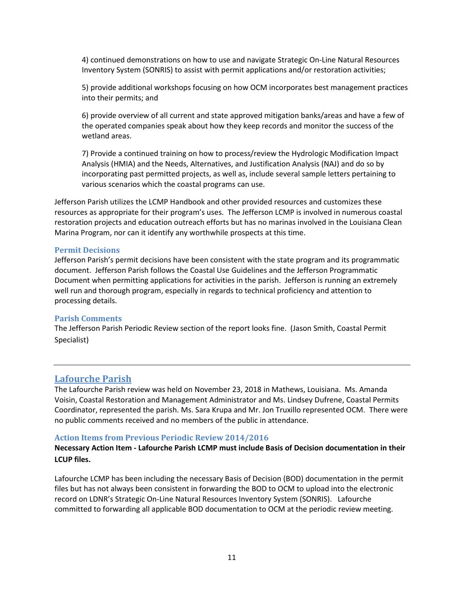4) continued demonstrations on how to use and navigate Strategic On-Line Natural Resources Inventory System (SONRIS) to assist with permit applications and/or restoration activities;

5) provide additional workshops focusing on how OCM incorporates best management practices into their permits; and

6) provide overview of all current and state approved mitigation banks/areas and have a few of the operated companies speak about how they keep records and monitor the success of the wetland areas.

7) Provide a continued training on how to process/review the Hydrologic Modification Impact Analysis (HMIA) and the Needs, Alternatives, and Justification Analysis (NAJ) and do so by incorporating past permitted projects, as well as, include several sample letters pertaining to various scenarios which the coastal programs can use.

Jefferson Parish utilizes the LCMP Handbook and other provided resources and customizes these resources as appropriate for their program's uses. The Jefferson LCMP is involved in numerous coastal restoration projects and education outreach efforts but has no marinas involved in the Louisiana Clean Marina Program, nor can it identify any worthwhile prospects at this time.

#### **Permit Decisions**

Jefferson Parish's permit decisions have been consistent with the state program and its programmatic document. Jefferson Parish follows the Coastal Use Guidelines and the Jefferson Programmatic Document when permitting applications for activities in the parish. Jefferson is running an extremely well run and thorough program, especially in regards to technical proficiency and attention to processing details.

#### **Parish Comments**

The Jefferson Parish Periodic Review section of the report looks fine. (Jason Smith, Coastal Permit Specialist)

## <span id="page-10-0"></span>**Lafourche Parish**

The Lafourche Parish review was held on November 23, 2018 in Mathews, Louisiana. Ms. Amanda Voisin, Coastal Restoration and Management Administrator and Ms. Lindsey Dufrene, Coastal Permits Coordinator, represented the parish. Ms. Sara Krupa and Mr. Jon Truxillo represented OCM. There were no public comments received and no members of the public in attendance.

#### **Action Items from Previous Periodic Review 2014/2016**

## **Necessary Action Item - Lafourche Parish LCMP must include Basis of Decision documentation in their LCUP files.**

Lafourche LCMP has been including the necessary Basis of Decision (BOD) documentation in the permit files but has not always been consistent in forwarding the BOD to OCM to upload into the electronic record on LDNR's Strategic On-Line Natural Resources Inventory System (SONRIS). Lafourche committed to forwarding all applicable BOD documentation to OCM at the periodic review meeting.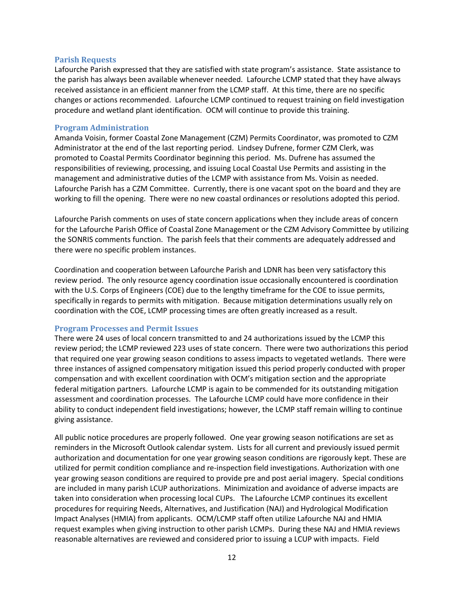#### **Parish Requests**

Lafourche Parish expressed that they are satisfied with state program's assistance. State assistance to the parish has always been available whenever needed. Lafourche LCMP stated that they have always received assistance in an efficient manner from the LCMP staff. At this time, there are no specific changes or actions recommended. Lafourche LCMP continued to request training on field investigation procedure and wetland plant identification. OCM will continue to provide this training.

#### **Program Administration**

Amanda Voisin, former Coastal Zone Management (CZM) Permits Coordinator, was promoted to CZM Administrator at the end of the last reporting period. Lindsey Dufrene, former CZM Clerk, was promoted to Coastal Permits Coordinator beginning this period. Ms. Dufrene has assumed the responsibilities of reviewing, processing, and issuing Local Coastal Use Permits and assisting in the management and administrative duties of the LCMP with assistance from Ms. Voisin as needed. Lafourche Parish has a CZM Committee. Currently, there is one vacant spot on the board and they are working to fill the opening. There were no new coastal ordinances or resolutions adopted this period.

Lafourche Parish comments on uses of state concern applications when they include areas of concern for the Lafourche Parish Office of Coastal Zone Management or the CZM Advisory Committee by utilizing the SONRIS comments function. The parish feels that their comments are adequately addressed and there were no specific problem instances.

Coordination and cooperation between Lafourche Parish and LDNR has been very satisfactory this review period. The only resource agency coordination issue occasionally encountered is coordination with the U.S. Corps of Engineers (COE) due to the lengthy timeframe for the COE to issue permits, specifically in regards to permits with mitigation. Because mitigation determinations usually rely on coordination with the COE, LCMP processing times are often greatly increased as a result.

#### **Program Processes and Permit Issues**

There were 24 uses of local concern transmitted to and 24 authorizations issued by the LCMP this review period; the LCMP reviewed 223 uses of state concern. There were two authorizations this period that required one year growing season conditions to assess impacts to vegetated wetlands. There were three instances of assigned compensatory mitigation issued this period properly conducted with proper compensation and with excellent coordination with OCM's mitigation section and the appropriate federal mitigation partners. Lafourche LCMP is again to be commended for its outstanding mitigation assessment and coordination processes. The Lafourche LCMP could have more confidence in their ability to conduct independent field investigations; however, the LCMP staff remain willing to continue giving assistance.

All public notice procedures are properly followed. One year growing season notifications are set as reminders in the Microsoft Outlook calendar system. Lists for all current and previously issued permit authorization and documentation for one year growing season conditions are rigorously kept. These are utilized for permit condition compliance and re-inspection field investigations. Authorization with one year growing season conditions are required to provide pre and post aerial imagery. Special conditions are included in many parish LCUP authorizations. Minimization and avoidance of adverse impacts are taken into consideration when processing local CUPs. The Lafourche LCMP continues its excellent procedures for requiring Needs, Alternatives, and Justification (NAJ) and Hydrological Modification Impact Analyses (HMIA) from applicants. OCM/LCMP staff often utilize Lafourche NAJ and HMIA request examples when giving instruction to other parish LCMPs. During these NAJ and HMIA reviews reasonable alternatives are reviewed and considered prior to issuing a LCUP with impacts. Field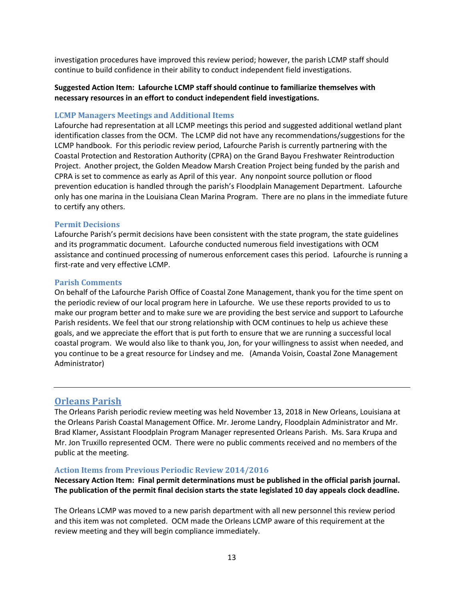investigation procedures have improved this review period; however, the parish LCMP staff should continue to build confidence in their ability to conduct independent field investigations.

## **Suggested Action Item: Lafourche LCMP staff should continue to familiarize themselves with necessary resources in an effort to conduct independent field investigations.**

#### **LCMP Managers Meetings and Additional Items**

Lafourche had representation at all LCMP meetings this period and suggested additional wetland plant identification classes from the OCM. The LCMP did not have any recommendations/suggestions for the LCMP handbook. For this periodic review period, Lafourche Parish is currently partnering with the Coastal Protection and Restoration Authority (CPRA) on the Grand Bayou Freshwater Reintroduction Project. Another project, the Golden Meadow Marsh Creation Project being funded by the parish and CPRA is set to commence as early as April of this year. Any nonpoint source pollution or flood prevention education is handled through the parish's Floodplain Management Department. Lafourche only has one marina in the Louisiana Clean Marina Program. There are no plans in the immediate future to certify any others.

#### **Permit Decisions**

Lafourche Parish's permit decisions have been consistent with the state program, the state guidelines and its programmatic document. Lafourche conducted numerous field investigations with OCM assistance and continued processing of numerous enforcement cases this period. Lafourche is running a first-rate and very effective LCMP.

#### **Parish Comments**

On behalf of the Lafourche Parish Office of Coastal Zone Management, thank you for the time spent on the periodic review of our local program here in Lafourche. We use these reports provided to us to make our program better and to make sure we are providing the best service and support to Lafourche Parish residents. We feel that our strong relationship with OCM continues to help us achieve these goals, and we appreciate the effort that is put forth to ensure that we are running a successful local coastal program. We would also like to thank you, Jon, for your willingness to assist when needed, and you continue to be a great resource for Lindsey and me. (Amanda Voisin, Coastal Zone Management Administrator)

## <span id="page-12-0"></span>**Orleans Parish**

The Orleans Parish periodic review meeting was held November 13, 2018 in New Orleans, Louisiana at the Orleans Parish Coastal Management Office. Mr. Jerome Landry, Floodplain Administrator and Mr. Brad Klamer, Assistant Floodplain Program Manager represented Orleans Parish. Ms. Sara Krupa and Mr. Jon Truxillo represented OCM. There were no public comments received and no members of the public at the meeting.

## **Action Items from Previous Periodic Review 2014/2016**

**Necessary Action Item: Final permit determinations must be published in the official parish journal. The publication of the permit final decision starts the state legislated 10 day appeals clock deadline.**

The Orleans LCMP was moved to a new parish department with all new personnel this review period and this item was not completed. OCM made the Orleans LCMP aware of this requirement at the review meeting and they will begin compliance immediately.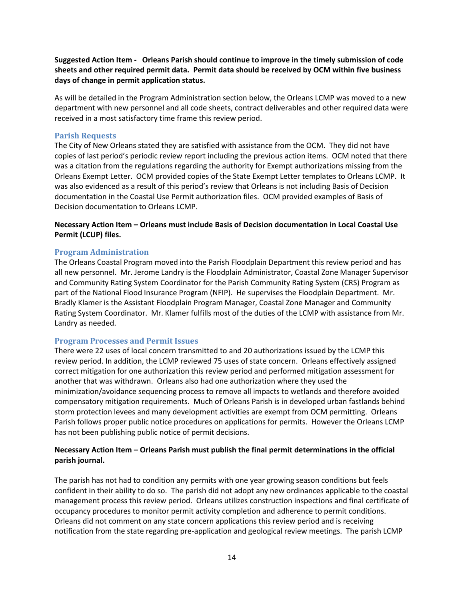**Suggested Action Item - Orleans Parish should continue to improve in the timely submission of code sheets and other required permit data. Permit data should be received by OCM within five business days of change in permit application status.** 

As will be detailed in the Program Administration section below, the Orleans LCMP was moved to a new department with new personnel and all code sheets, contract deliverables and other required data were received in a most satisfactory time frame this review period.

#### **Parish Requests**

The City of New Orleans stated they are satisfied with assistance from the OCM. They did not have copies of last period's periodic review report including the previous action items. OCM noted that there was a citation from the regulations regarding the authority for Exempt authorizations missing from the Orleans Exempt Letter. OCM provided copies of the State Exempt Letter templates to Orleans LCMP. It was also evidenced as a result of this period's review that Orleans is not including Basis of Decision documentation in the Coastal Use Permit authorization files. OCM provided examples of Basis of Decision documentation to Orleans LCMP.

**Necessary Action Item – Orleans must include Basis of Decision documentation in Local Coastal Use Permit (LCUP) files.**

#### **Program Administration**

The Orleans Coastal Program moved into the Parish Floodplain Department this review period and has all new personnel. Mr. Jerome Landry is the Floodplain Administrator, Coastal Zone Manager Supervisor and Community Rating System Coordinator for the Parish Community Rating System (CRS) Program as part of the National Flood Insurance Program (NFIP). He supervises the Floodplain Department. Mr. Bradly Klamer is the Assistant Floodplain Program Manager, Coastal Zone Manager and Community Rating System Coordinator. Mr. Klamer fulfills most of the duties of the LCMP with assistance from Mr. Landry as needed.

#### **Program Processes and Permit Issues**

There were 22 uses of local concern transmitted to and 20 authorizations issued by the LCMP this review period. In addition, the LCMP reviewed 75 uses of state concern. Orleans effectively assigned correct mitigation for one authorization this review period and performed mitigation assessment for another that was withdrawn. Orleans also had one authorization where they used the minimization/avoidance sequencing process to remove all impacts to wetlands and therefore avoided compensatory mitigation requirements. Much of Orleans Parish is in developed urban fastlands behind storm protection levees and many development activities are exempt from OCM permitting. Orleans Parish follows proper public notice procedures on applications for permits. However the Orleans LCMP has not been publishing public notice of permit decisions.

## **Necessary Action Item – Orleans Parish must publish the final permit determinations in the official parish journal.**

The parish has not had to condition any permits with one year growing season conditions but feels confident in their ability to do so. The parish did not adopt any new ordinances applicable to the coastal management process this review period. Orleans utilizes construction inspections and final certificate of occupancy procedures to monitor permit activity completion and adherence to permit conditions. Orleans did not comment on any state concern applications this review period and is receiving notification from the state regarding pre-application and geological review meetings. The parish LCMP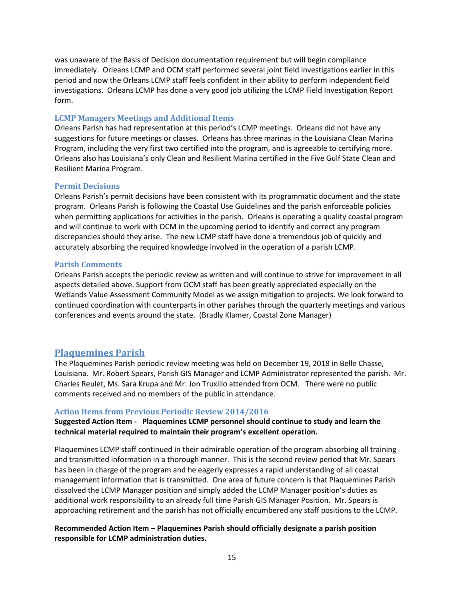was unaware of the Basis of Decision documentation requirement but will begin compliance immediately. Orleans LCMP and OCM staff performed several joint field investigations earlier in this period and now the Orleans LCMP staff feels confident in their ability to perform independent field investigations. Orleans LCMP has done a very good job utilizing the LCMP Field Investigation Report form.

#### **LCMP Managers Meetings and Additional Items**

Orleans Parish has had representation at this period's LCMP meetings. Orleans did not have any suggestions for future meetings or classes. Orleans has three marinas in the Louisiana Clean Marina Program, including the very first two certified into the program, and is agreeable to certifying more. Orleans also has Louisiana's only Clean and Resilient Marina certified in the Five Gulf State Clean and Resilient Marina Program.

#### **Permit Decisions**

Orleans Parish's permit decisions have been consistent with its programmatic document and the state program. Orleans Parish is following the Coastal Use Guidelines and the parish enforceable policies when permitting applications for activities in the parish. Orleans is operating a quality coastal program and will continue to work with OCM in the upcoming period to identify and correct any program discrepancies should they arise. The new LCMP staff have done a tremendous job of quickly and accurately absorbing the required knowledge involved in the operation of a parish LCMP.

#### **Parish Comments**

Orleans Parish accepts the periodic review as written and will continue to strive for improvement in all aspects detailed above. Support from OCM staff has been greatly appreciated especially on the Wetlands Value Assessment Community Model as we assign mitigation to projects. We look forward to continued coordination with counterparts in other parishes through the quarterly meetings and various conferences and events around the state. (Bradly Klamer, Coastal Zone Manager)

## <span id="page-14-0"></span>**Plaquemines Parish**

The Plaquemines Parish periodic review meeting was held on December 19, 2018 in Belle Chasse, Louisiana. Mr. Robert Spears, Parish GIS Manager and LCMP Administrator represented the parish. Mr. Charles Reulet, Ms. Sara Krupa and Mr. Jon Truxillo attended from OCM. There were no public comments received and no members of the public in attendance.

#### **Action Items from Previous Periodic Review 2014/2016**

**Suggested Action Item - Plaquemines LCMP personnel should continue to study and learn the technical material required to maintain their program's excellent operation.**

Plaquemines LCMP staff continued in their admirable operation of the program absorbing all training and transmitted information in a thorough manner. This is the second review period that Mr. Spears has been in charge of the program and he eagerly expresses a rapid understanding of all coastal management information that is transmitted. One area of future concern is that Plaquemines Parish dissolved the LCMP Manager position and simply added the LCMP Manager position's duties as additional work responsibility to an already full time Parish GIS Manager Position. Mr. Spears is approaching retirement and the parish has not officially encumbered any staff positions to the LCMP.

## **Recommended Action Item – Plaquemines Parish should officially designate a parish position responsible for LCMP administration duties.**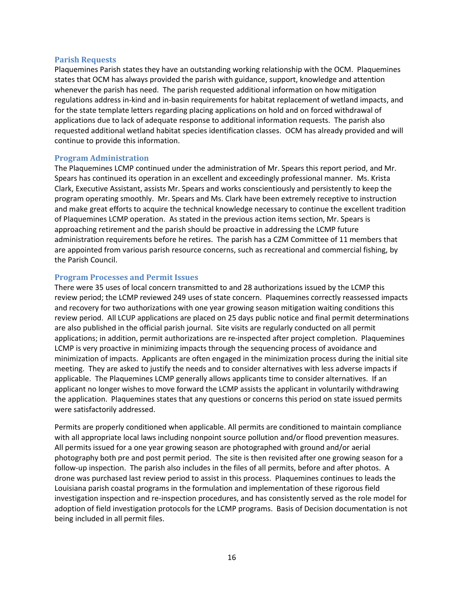#### **Parish Requests**

Plaquemines Parish states they have an outstanding working relationship with the OCM. Plaquemines states that OCM has always provided the parish with guidance, support, knowledge and attention whenever the parish has need. The parish requested additional information on how mitigation regulations address in-kind and in-basin requirements for habitat replacement of wetland impacts, and for the state template letters regarding placing applications on hold and on forced withdrawal of applications due to lack of adequate response to additional information requests. The parish also requested additional wetland habitat species identification classes. OCM has already provided and will continue to provide this information.

## **Program Administration**

The Plaquemines LCMP continued under the administration of Mr. Spears this report period, and Mr. Spears has continued its operation in an excellent and exceedingly professional manner. Ms. Krista Clark, Executive Assistant, assists Mr. Spears and works conscientiously and persistently to keep the program operating smoothly. Mr. Spears and Ms. Clark have been extremely receptive to instruction and make great efforts to acquire the technical knowledge necessary to continue the excellent tradition of Plaquemines LCMP operation. As stated in the previous action items section, Mr. Spears is approaching retirement and the parish should be proactive in addressing the LCMP future administration requirements before he retires. The parish has a CZM Committee of 11 members that are appointed from various parish resource concerns, such as recreational and commercial fishing, by the Parish Council.

#### **Program Processes and Permit Issues**

There were 35 uses of local concern transmitted to and 28 authorizations issued by the LCMP this review period; the LCMP reviewed 249 uses of state concern. Plaquemines correctly reassessed impacts and recovery for two authorizations with one year growing season mitigation waiting conditions this review period. All LCUP applications are placed on 25 days public notice and final permit determinations are also published in the official parish journal. Site visits are regularly conducted on all permit applications; in addition, permit authorizations are re-inspected after project completion. Plaquemines LCMP is very proactive in minimizing impacts through the sequencing process of avoidance and minimization of impacts. Applicants are often engaged in the minimization process during the initial site meeting. They are asked to justify the needs and to consider alternatives with less adverse impacts if applicable. The Plaquemines LCMP generally allows applicants time to consider alternatives. If an applicant no longer wishes to move forward the LCMP assists the applicant in voluntarily withdrawing the application. Plaquemines states that any questions or concerns this period on state issued permits were satisfactorily addressed.

Permits are properly conditioned when applicable. All permits are conditioned to maintain compliance with all appropriate local laws including nonpoint source pollution and/or flood prevention measures. All permits issued for a one year growing season are photographed with ground and/or aerial photography both pre and post permit period. The site is then revisited after one growing season for a follow-up inspection. The parish also includes in the files of all permits, before and after photos. A drone was purchased last review period to assist in this process. Plaquemines continues to leads the Louisiana parish coastal programs in the formulation and implementation of these rigorous field investigation inspection and re-inspection procedures, and has consistently served as the role model for adoption of field investigation protocols for the LCMP programs. Basis of Decision documentation is not being included in all permit files.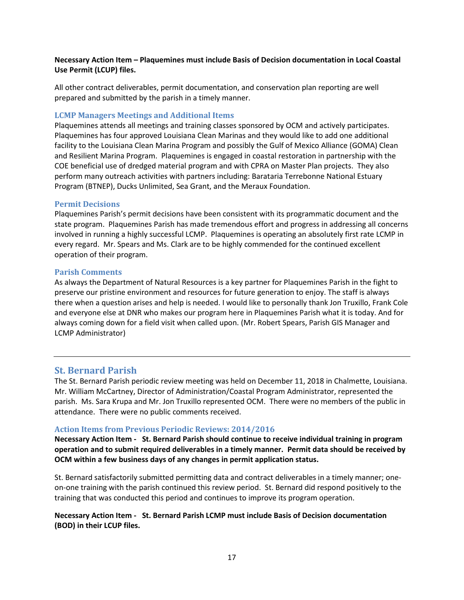## **Necessary Action Item – Plaquemines must include Basis of Decision documentation in Local Coastal Use Permit (LCUP) files.**

All other contract deliverables, permit documentation, and conservation plan reporting are well prepared and submitted by the parish in a timely manner.

#### **LCMP Managers Meetings and Additional Items**

Plaquemines attends all meetings and training classes sponsored by OCM and actively participates. Plaquemines has four approved Louisiana Clean Marinas and they would like to add one additional facility to the Louisiana Clean Marina Program and possibly the Gulf of Mexico Alliance (GOMA) Clean and Resilient Marina Program. Plaquemines is engaged in coastal restoration in partnership with the COE beneficial use of dredged material program and with CPRA on Master Plan projects. They also perform many outreach activities with partners including: Barataria Terrebonne National Estuary Program (BTNEP), Ducks Unlimited, Sea Grant, and the Meraux Foundation.

## **Permit Decisions**

Plaquemines Parish's permit decisions have been consistent with its programmatic document and the state program. Plaquemines Parish has made tremendous effort and progress in addressing all concerns involved in running a highly successful LCMP. Plaquemines is operating an absolutely first rate LCMP in every regard. Mr. Spears and Ms. Clark are to be highly commended for the continued excellent operation of their program.

#### **Parish Comments**

As always the Department of Natural Resources is a key partner for Plaquemines Parish in the fight to preserve our pristine environment and resources for future generation to enjoy. The staff is always there when a question arises and help is needed. I would like to personally thank Jon Truxillo, Frank Cole and everyone else at DNR who makes our program here in Plaquemines Parish what it is today. And for always coming down for a field visit when called upon. (Mr. Robert Spears, Parish GIS Manager and LCMP Administrator)

## <span id="page-16-0"></span>**St. Bernard Parish**

The St. Bernard Parish periodic review meeting was held on December 11, 2018 in Chalmette, Louisiana. Mr. William McCartney, Director of Administration/Coastal Program Administrator, represented the parish. Ms. Sara Krupa and Mr. Jon Truxillo represented OCM. There were no members of the public in attendance. There were no public comments received.

## **Action Items from Previous Periodic Reviews: 2014/2016**

**Necessary Action Item - St. Bernard Parish should continue to receive individual training in program operation and to submit required deliverables in a timely manner. Permit data should be received by OCM within a few business days of any changes in permit application status.** 

St. Bernard satisfactorily submitted permitting data and contract deliverables in a timely manner; oneon-one training with the parish continued this review period. St. Bernard did respond positively to the training that was conducted this period and continues to improve its program operation.

## **Necessary Action Item - St. Bernard Parish LCMP must include Basis of Decision documentation (BOD) in their LCUP files.**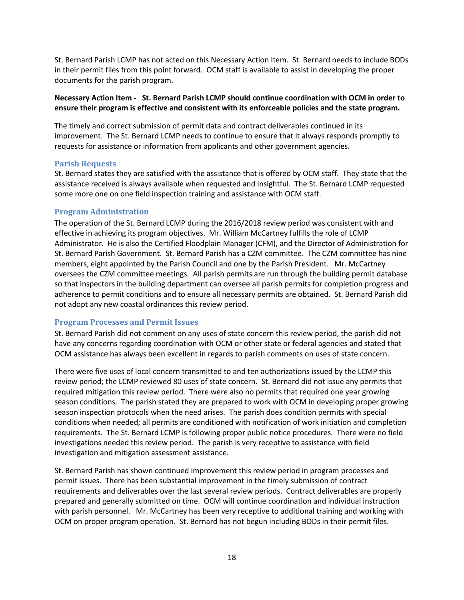St. Bernard Parish LCMP has not acted on this Necessary Action Item. St. Bernard needs to include BODs in their permit files from this point forward. OCM staff is available to assist in developing the proper documents for the parish program.

## **Necessary Action Item - St. Bernard Parish LCMP should continue coordination with OCM in order to ensure their program is effective and consistent with its enforceable policies and the state program.**

The timely and correct submission of permit data and contract deliverables continued in its improvement. The St. Bernard LCMP needs to continue to ensure that it always responds promptly to requests for assistance or information from applicants and other government agencies.

## **Parish Requests**

St. Bernard states they are satisfied with the assistance that is offered by OCM staff. They state that the assistance received is always available when requested and insightful. The St. Bernard LCMP requested some more one on one field inspection training and assistance with OCM staff.

## **Program Administration**

The operation of the St. Bernard LCMP during the 2016/2018 review period was consistent with and effective in achieving its program objectives. Mr. William McCartney fulfills the role of LCMP Administrator. He is also the Certified Floodplain Manager (CFM), and the Director of Administration for St. Bernard Parish Government. St. Bernard Parish has a CZM committee. The CZM committee has nine members, eight appointed by the Parish Council and one by the Parish President. Mr. McCartney oversees the CZM committee meetings. All parish permits are run through the building permit database so that inspectors in the building department can oversee all parish permits for completion progress and adherence to permit conditions and to ensure all necessary permits are obtained. St. Bernard Parish did not adopt any new coastal ordinances this review period.

## **Program Processes and Permit Issues**

St. Bernard Parish did not comment on any uses of state concern this review period, the parish did not have any concerns regarding coordination with OCM or other state or federal agencies and stated that OCM assistance has always been excellent in regards to parish comments on uses of state concern.

There were five uses of local concern transmitted to and ten authorizations issued by the LCMP this review period; the LCMP reviewed 80 uses of state concern. St. Bernard did not issue any permits that required mitigation this review period. There were also no permits that required one year growing season conditions. The parish stated they are prepared to work with OCM in developing proper growing season inspection protocols when the need arises. The parish does condition permits with special conditions when needed; all permits are conditioned with notification of work initiation and completion requirements. The St. Bernard LCMP is following proper public notice procedures. There were no field investigations needed this review period. The parish is very receptive to assistance with field investigation and mitigation assessment assistance.

St. Bernard Parish has shown continued improvement this review period in program processes and permit issues. There has been substantial improvement in the timely submission of contract requirements and deliverables over the last several review periods. Contract deliverables are properly prepared and generally submitted on time. OCM will continue coordination and individual instruction with parish personnel. Mr. McCartney has been very receptive to additional training and working with OCM on proper program operation. St. Bernard has not begun including BODs in their permit files.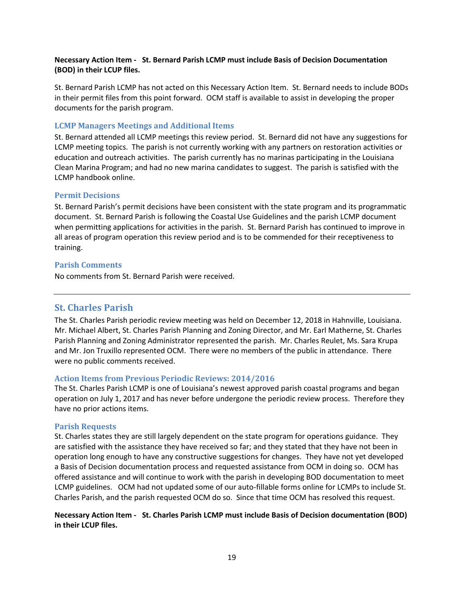## **Necessary Action Item - St. Bernard Parish LCMP must include Basis of Decision Documentation (BOD) in their LCUP files.**

St. Bernard Parish LCMP has not acted on this Necessary Action Item. St. Bernard needs to include BODs in their permit files from this point forward. OCM staff is available to assist in developing the proper documents for the parish program.

## **LCMP Managers Meetings and Additional Items**

St. Bernard attended all LCMP meetings this review period. St. Bernard did not have any suggestions for LCMP meeting topics. The parish is not currently working with any partners on restoration activities or education and outreach activities. The parish currently has no marinas participating in the Louisiana Clean Marina Program; and had no new marina candidates to suggest. The parish is satisfied with the LCMP handbook online.

#### **Permit Decisions**

St. Bernard Parish's permit decisions have been consistent with the state program and its programmatic document. St. Bernard Parish is following the Coastal Use Guidelines and the parish LCMP document when permitting applications for activities in the parish. St. Bernard Parish has continued to improve in all areas of program operation this review period and is to be commended for their receptiveness to training.

#### **Parish Comments**

No comments from St. Bernard Parish were received.

## <span id="page-18-0"></span>**St. Charles Parish**

The St. Charles Parish periodic review meeting was held on December 12, 2018 in Hahnville, Louisiana. Mr. Michael Albert, St. Charles Parish Planning and Zoning Director, and Mr. Earl Matherne, St. Charles Parish Planning and Zoning Administrator represented the parish. Mr. Charles Reulet, Ms. Sara Krupa and Mr. Jon Truxillo represented OCM. There were no members of the public in attendance. There were no public comments received.

#### **Action Items from Previous Periodic Reviews: 2014/2016**

The St. Charles Parish LCMP is one of Louisiana's newest approved parish coastal programs and began operation on July 1, 2017 and has never before undergone the periodic review process. Therefore they have no prior actions items.

#### **Parish Requests**

St. Charles states they are still largely dependent on the state program for operations guidance. They are satisfied with the assistance they have received so far; and they stated that they have not been in operation long enough to have any constructive suggestions for changes. They have not yet developed a Basis of Decision documentation process and requested assistance from OCM in doing so. OCM has offered assistance and will continue to work with the parish in developing BOD documentation to meet LCMP guidelines. OCM had not updated some of our auto-fillable forms online for LCMPs to include St. Charles Parish, and the parish requested OCM do so. Since that time OCM has resolved this request.

## **Necessary Action Item - St. Charles Parish LCMP must include Basis of Decision documentation (BOD) in their LCUP files.**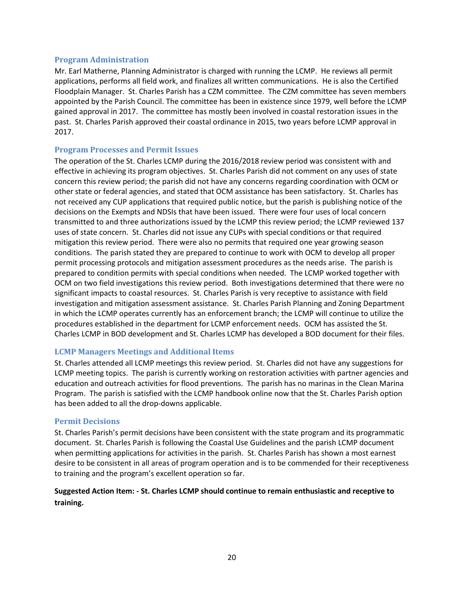## **Program Administration**

Mr. Earl Matherne, Planning Administrator is charged with running the LCMP. He reviews all permit applications, performs all field work, and finalizes all written communications. He is also the Certified Floodplain Manager. St. Charles Parish has a CZM committee. The CZM committee has seven members appointed by the Parish Council. The committee has been in existence since 1979, well before the LCMP gained approval in 2017. The committee has mostly been involved in coastal restoration issues in the past. St. Charles Parish approved their coastal ordinance in 2015, two years before LCMP approval in 2017.

## **Program Processes and Permit Issues**

The operation of the St. Charles LCMP during the 2016/2018 review period was consistent with and effective in achieving its program objectives. St. Charles Parish did not comment on any uses of state concern this review period; the parish did not have any concerns regarding coordination with OCM or other state or federal agencies, and stated that OCM assistance has been satisfactory. St. Charles has not received any CUP applications that required public notice, but the parish is publishing notice of the decisions on the Exempts and NDSIs that have been issued. There were four uses of local concern transmitted to and three authorizations issued by the LCMP this review period; the LCMP reviewed 137 uses of state concern. St. Charles did not issue any CUPs with special conditions or that required mitigation this review period. There were also no permits that required one year growing season conditions. The parish stated they are prepared to continue to work with OCM to develop all proper permit processing protocols and mitigation assessment procedures as the needs arise. The parish is prepared to condition permits with special conditions when needed. The LCMP worked together with OCM on two field investigations this review period. Both investigations determined that there were no significant impacts to coastal resources. St. Charles Parish is very receptive to assistance with field investigation and mitigation assessment assistance. St. Charles Parish Planning and Zoning Department in which the LCMP operates currently has an enforcement branch; the LCMP will continue to utilize the procedures established in the department for LCMP enforcement needs. OCM has assisted the St. Charles LCMP in BOD development and St. Charles LCMP has developed a BOD document for their files.

## **LCMP Managers Meetings and Additional Items**

St. Charles attended all LCMP meetings this review period. St. Charles did not have any suggestions for LCMP meeting topics. The parish is currently working on restoration activities with partner agencies and education and outreach activities for flood preventions. The parish has no marinas in the Clean Marina Program. The parish is satisfied with the LCMP handbook online now that the St. Charles Parish option has been added to all the drop-downs applicable.

## **Permit Decisions**

St. Charles Parish's permit decisions have been consistent with the state program and its programmatic document. St. Charles Parish is following the Coastal Use Guidelines and the parish LCMP document when permitting applications for activities in the parish. St. Charles Parish has shown a most earnest desire to be consistent in all areas of program operation and is to be commended for their receptiveness to training and the program's excellent operation so far.

## **Suggested Action Item: - St. Charles LCMP should continue to remain enthusiastic and receptive to training.**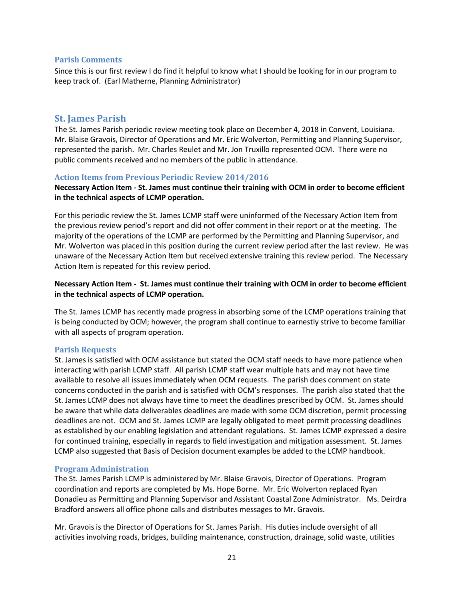#### **Parish Comments**

Since this is our first review I do find it helpful to know what I should be looking for in our program to keep track of. (Earl Matherne, Planning Administrator)

## <span id="page-20-0"></span>**St. James Parish**

The St. James Parish periodic review meeting took place on December 4, 2018 in Convent, Louisiana. Mr. Blaise Gravois, Director of Operations and Mr. Eric Wolverton, Permitting and Planning Supervisor, represented the parish. Mr. Charles Reulet and Mr. Jon Truxillo represented OCM. There were no public comments received and no members of the public in attendance.

## **Action Items from Previous Periodic Review 2014/2016**

## **Necessary Action Item - St. James must continue their training with OCM in order to become efficient in the technical aspects of LCMP operation.**

For this periodic review the St. James LCMP staff were uninformed of the Necessary Action Item from the previous review period's report and did not offer comment in their report or at the meeting. The majority of the operations of the LCMP are performed by the Permitting and Planning Supervisor, and Mr. Wolverton was placed in this position during the current review period after the last review. He was unaware of the Necessary Action Item but received extensive training this review period. The Necessary Action Item is repeated for this review period.

## **Necessary Action Item - St. James must continue their training with OCM in order to become efficient in the technical aspects of LCMP operation.**

The St. James LCMP has recently made progress in absorbing some of the LCMP operations training that is being conducted by OCM; however, the program shall continue to earnestly strive to become familiar with all aspects of program operation.

## **Parish Requests**

St. James is satisfied with OCM assistance but stated the OCM staff needs to have more patience when interacting with parish LCMP staff. All parish LCMP staff wear multiple hats and may not have time available to resolve all issues immediately when OCM requests. The parish does comment on state concerns conducted in the parish and is satisfied with OCM's responses. The parish also stated that the St. James LCMP does not always have time to meet the deadlines prescribed by OCM. St. James should be aware that while data deliverables deadlines are made with some OCM discretion, permit processing deadlines are not. OCM and St. James LCMP are legally obligated to meet permit processing deadlines as established by our enabling legislation and attendant regulations. St. James LCMP expressed a desire for continued training, especially in regards to field investigation and mitigation assessment. St. James LCMP also suggested that Basis of Decision document examples be added to the LCMP handbook.

## **Program Administration**

The St. James Parish LCMP is administered by Mr. Blaise Gravois, Director of Operations. Program coordination and reports are completed by Ms. Hope Borne. Mr. Eric Wolverton replaced Ryan Donadieu as Permitting and Planning Supervisor and Assistant Coastal Zone Administrator. Ms. Deirdra Bradford answers all office phone calls and distributes messages to Mr. Gravois.

Mr. Gravois is the Director of Operations for St. James Parish. His duties include oversight of all activities involving roads, bridges, building maintenance, construction, drainage, solid waste, utilities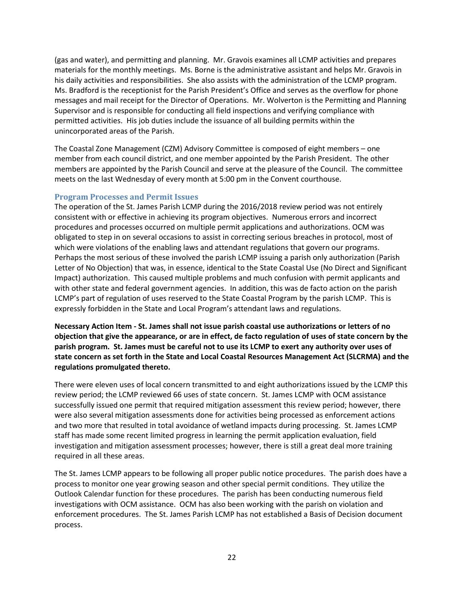(gas and water), and permitting and planning. Mr. Gravois examines all LCMP activities and prepares materials for the monthly meetings. Ms. Borne is the administrative assistant and helps Mr. Gravois in his daily activities and responsibilities. She also assists with the administration of the LCMP program. Ms. Bradford is the receptionist for the Parish President's Office and serves as the overflow for phone messages and mail receipt for the Director of Operations. Mr. Wolverton is the Permitting and Planning Supervisor and is responsible for conducting all field inspections and verifying compliance with permitted activities. His job duties include the issuance of all building permits within the unincorporated areas of the Parish.

The Coastal Zone Management (CZM) Advisory Committee is composed of eight members – one member from each council district, and one member appointed by the Parish President. The other members are appointed by the Parish Council and serve at the pleasure of the Council. The committee meets on the last Wednesday of every month at 5:00 pm in the Convent courthouse.

## **Program Processes and Permit Issues**

The operation of the St. James Parish LCMP during the 2016/2018 review period was not entirely consistent with or effective in achieving its program objectives. Numerous errors and incorrect procedures and processes occurred on multiple permit applications and authorizations. OCM was obligated to step in on several occasions to assist in correcting serious breaches in protocol, most of which were violations of the enabling laws and attendant regulations that govern our programs. Perhaps the most serious of these involved the parish LCMP issuing a parish only authorization (Parish Letter of No Objection) that was, in essence, identical to the State Coastal Use (No Direct and Significant Impact) authorization. This caused multiple problems and much confusion with permit applicants and with other state and federal government agencies. In addition, this was de facto action on the parish LCMP's part of regulation of uses reserved to the State Coastal Program by the parish LCMP. This is expressly forbidden in the State and Local Program's attendant laws and regulations.

**Necessary Action Item - St. James shall not issue parish coastal use authorizations or letters of no objection that give the appearance, or are in effect, de facto regulation of uses of state concern by the parish program. St. James must be careful not to use its LCMP to exert any authority over uses of state concern as set forth in the State and Local Coastal Resources Management Act (SLCRMA) and the regulations promulgated thereto.** 

There were eleven uses of local concern transmitted to and eight authorizations issued by the LCMP this review period; the LCMP reviewed 66 uses of state concern. St. James LCMP with OCM assistance successfully issued one permit that required mitigation assessment this review period; however, there were also several mitigation assessments done for activities being processed as enforcement actions and two more that resulted in total avoidance of wetland impacts during processing. St. James LCMP staff has made some recent limited progress in learning the permit application evaluation, field investigation and mitigation assessment processes; however, there is still a great deal more training required in all these areas.

The St. James LCMP appears to be following all proper public notice procedures. The parish does have a process to monitor one year growing season and other special permit conditions. They utilize the Outlook Calendar function for these procedures. The parish has been conducting numerous field investigations with OCM assistance. OCM has also been working with the parish on violation and enforcement procedures. The St. James Parish LCMP has not established a Basis of Decision document process.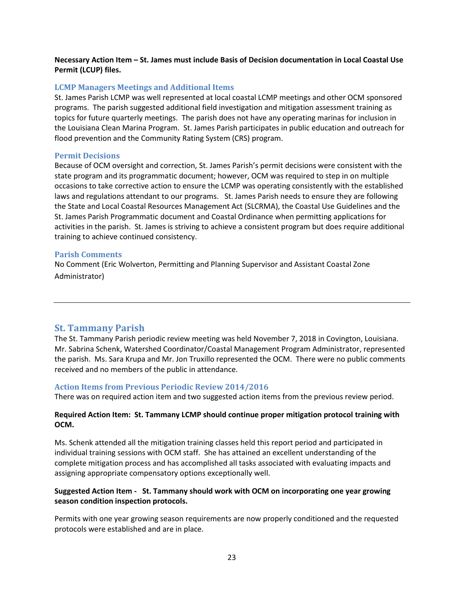## **Necessary Action Item – St. James must include Basis of Decision documentation in Local Coastal Use Permit (LCUP) files.**

## **LCMP Managers Meetings and Additional Items**

St. James Parish LCMP was well represented at local coastal LCMP meetings and other OCM sponsored programs. The parish suggested additional field investigation and mitigation assessment training as topics for future quarterly meetings. The parish does not have any operating marinas for inclusion in the Louisiana Clean Marina Program. St. James Parish participates in public education and outreach for flood prevention and the Community Rating System (CRS) program.

#### **Permit Decisions**

Because of OCM oversight and correction, St. James Parish's permit decisions were consistent with the state program and its programmatic document; however, OCM was required to step in on multiple occasions to take corrective action to ensure the LCMP was operating consistently with the established laws and regulations attendant to our programs. St. James Parish needs to ensure they are following the State and Local Coastal Resources Management Act (SLCRMA), the Coastal Use Guidelines and the St. James Parish Programmatic document and Coastal Ordinance when permitting applications for activities in the parish. St. James is striving to achieve a consistent program but does require additional training to achieve continued consistency.

#### **Parish Comments**

No Comment (Eric Wolverton, Permitting and Planning Supervisor and Assistant Coastal Zone Administrator)

## <span id="page-22-0"></span>**St. Tammany Parish**

The St. Tammany Parish periodic review meeting was held November 7, 2018 in Covington, Louisiana. Mr. Sabrina Schenk, Watershed Coordinator/Coastal Management Program Administrator, represented the parish. Ms. Sara Krupa and Mr. Jon Truxillo represented the OCM. There were no public comments received and no members of the public in attendance.

## **Action Items from Previous Periodic Review 2014/2016**

There was on required action item and two suggested action items from the previous review period.

## **Required Action Item: St. Tammany LCMP should continue proper mitigation protocol training with OCM.**

Ms. Schenk attended all the mitigation training classes held this report period and participated in individual training sessions with OCM staff. She has attained an excellent understanding of the complete mitigation process and has accomplished all tasks associated with evaluating impacts and assigning appropriate compensatory options exceptionally well.

## **Suggested Action Item - St. Tammany should work with OCM on incorporating one year growing season condition inspection protocols.**

Permits with one year growing season requirements are now properly conditioned and the requested protocols were established and are in place.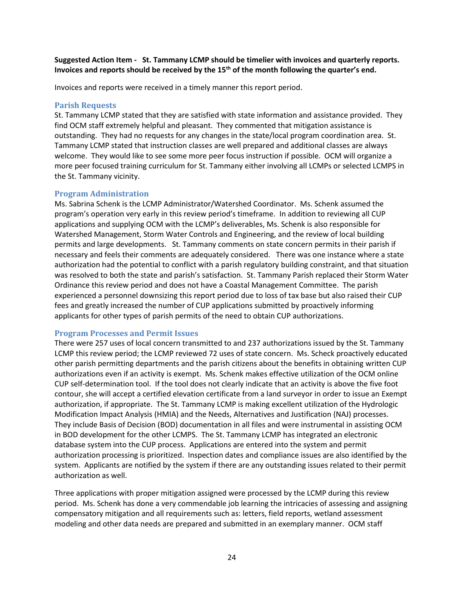## **Suggested Action Item - St. Tammany LCMP should be timelier with invoices and quarterly reports. Invoices and reports should be received by the 15th of the month following the quarter's end.**

Invoices and reports were received in a timely manner this report period.

#### **Parish Requests**

St. Tammany LCMP stated that they are satisfied with state information and assistance provided. They find OCM staff extremely helpful and pleasant. They commented that mitigation assistance is outstanding. They had no requests for any changes in the state/local program coordination area. St. Tammany LCMP stated that instruction classes are well prepared and additional classes are always welcome. They would like to see some more peer focus instruction if possible. OCM will organize a more peer focused training curriculum for St. Tammany either involving all LCMPs or selected LCMPS in the St. Tammany vicinity.

## **Program Administration**

Ms. Sabrina Schenk is the LCMP Administrator/Watershed Coordinator. Ms. Schenk assumed the program's operation very early in this review period's timeframe. In addition to reviewing all CUP applications and supplying OCM with the LCMP's deliverables, Ms. Schenk is also responsible for Watershed Management, Storm Water Controls and Engineering, and the review of local building permits and large developments. St. Tammany comments on state concern permits in their parish if necessary and feels their comments are adequately considered. There was one instance where a state authorization had the potential to conflict with a parish regulatory building constraint, and that situation was resolved to both the state and parish's satisfaction. St. Tammany Parish replaced their Storm Water Ordinance this review period and does not have a Coastal Management Committee. The parish experienced a personnel downsizing this report period due to loss of tax base but also raised their CUP fees and greatly increased the number of CUP applications submitted by proactively informing applicants for other types of parish permits of the need to obtain CUP authorizations.

## **Program Processes and Permit Issues**

There were 257 uses of local concern transmitted to and 237 authorizations issued by the St. Tammany LCMP this review period; the LCMP reviewed 72 uses of state concern. Ms. Scheck proactively educated other parish permitting departments and the parish citizens about the benefits in obtaining written CUP authorizations even if an activity is exempt. Ms. Schenk makes effective utilization of the OCM online CUP self-determination tool. If the tool does not clearly indicate that an activity is above the five foot contour, she will accept a certified elevation certificate from a land surveyor in order to issue an Exempt authorization, if appropriate. The St. Tammany LCMP is making excellent utilization of the Hydrologic Modification Impact Analysis (HMIA) and the Needs, Alternatives and Justification (NAJ) processes. They include Basis of Decision (BOD) documentation in all files and were instrumental in assisting OCM in BOD development for the other LCMPS. The St. Tammany LCMP has integrated an electronic database system into the CUP process. Applications are entered into the system and permit authorization processing is prioritized. Inspection dates and compliance issues are also identified by the system. Applicants are notified by the system if there are any outstanding issues related to their permit authorization as well.

Three applications with proper mitigation assigned were processed by the LCMP during this review period. Ms. Schenk has done a very commendable job learning the intricacies of assessing and assigning compensatory mitigation and all requirements such as: letters, field reports, wetland assessment modeling and other data needs are prepared and submitted in an exemplary manner. OCM staff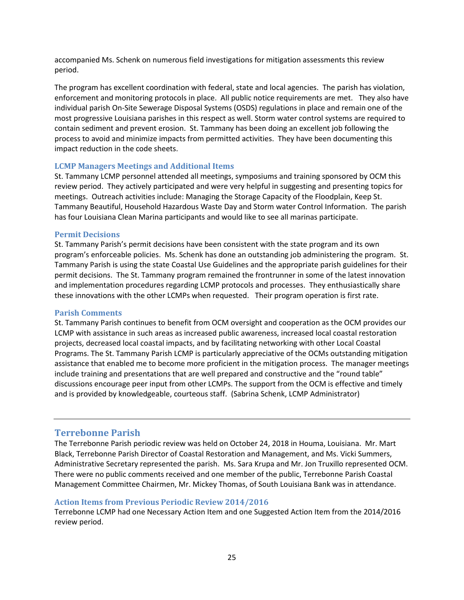accompanied Ms. Schenk on numerous field investigations for mitigation assessments this review period.

The program has excellent coordination with federal, state and local agencies. The parish has violation, enforcement and monitoring protocols in place. All public notice requirements are met. They also have individual parish On-Site Sewerage Disposal Systems (OSDS) regulations in place and remain one of the most progressive Louisiana parishes in this respect as well. Storm water control systems are required to contain sediment and prevent erosion. St. Tammany has been doing an excellent job following the process to avoid and minimize impacts from permitted activities. They have been documenting this impact reduction in the code sheets.

#### **LCMP Managers Meetings and Additional Items**

St. Tammany LCMP personnel attended all meetings, symposiums and training sponsored by OCM this review period. They actively participated and were very helpful in suggesting and presenting topics for meetings. Outreach activities include: Managing the Storage Capacity of the Floodplain, Keep St. Tammany Beautiful, Household Hazardous Waste Day and Storm water Control Information. The parish has four Louisiana Clean Marina participants and would like to see all marinas participate.

#### **Permit Decisions**

St. Tammany Parish's permit decisions have been consistent with the state program and its own program's enforceable policies. Ms. Schenk has done an outstanding job administering the program. St. Tammany Parish is using the state Coastal Use Guidelines and the appropriate parish guidelines for their permit decisions. The St. Tammany program remained the frontrunner in some of the latest innovation and implementation procedures regarding LCMP protocols and processes. They enthusiastically share these innovations with the other LCMPs when requested. Their program operation is first rate.

#### **Parish Comments**

St. Tammany Parish continues to benefit from OCM oversight and cooperation as the OCM provides our LCMP with assistance in such areas as increased public awareness, increased local coastal restoration projects, decreased local coastal impacts, and by facilitating networking with other Local Coastal Programs. The St. Tammany Parish LCMP is particularly appreciative of the OCMs outstanding mitigation assistance that enabled me to become more proficient in the mitigation process. The manager meetings include training and presentations that are well prepared and constructive and the "round table" discussions encourage peer input from other LCMPs. The support from the OCM is effective and timely and is provided by knowledgeable, courteous staff. (Sabrina Schenk, LCMP Administrator)

## <span id="page-24-0"></span>**Terrebonne Parish**

The Terrebonne Parish periodic review was held on October 24, 2018 in Houma, Louisiana. Mr. Mart Black, Terrebonne Parish Director of Coastal Restoration and Management, and Ms. Vicki Summers, Administrative Secretary represented the parish. Ms. Sara Krupa and Mr. Jon Truxillo represented OCM. There were no public comments received and one member of the public, Terrebonne Parish Coastal Management Committee Chairmen, Mr. Mickey Thomas, of South Louisiana Bank was in attendance.

## **Action Items from Previous Periodic Review 2014/2016**

Terrebonne LCMP had one Necessary Action Item and one Suggested Action Item from the 2014/2016 review period.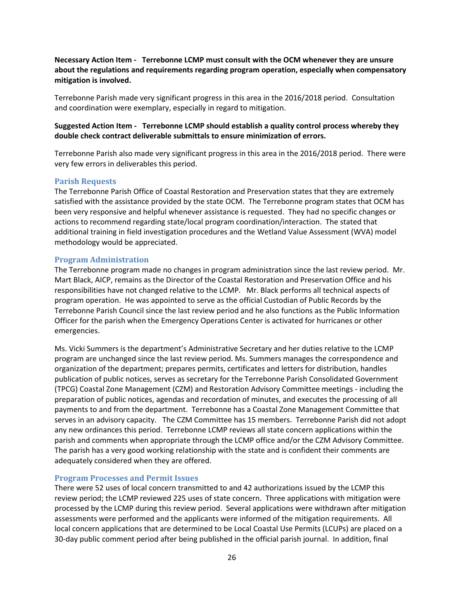**Necessary Action Item - Terrebonne LCMP must consult with the OCM whenever they are unsure about the regulations and requirements regarding program operation, especially when compensatory mitigation is involved.**

Terrebonne Parish made very significant progress in this area in the 2016/2018 period. Consultation and coordination were exemplary, especially in regard to mitigation.

## **Suggested Action Item - Terrebonne LCMP should establish a quality control process whereby they double check contract deliverable submittals to ensure minimization of errors.**

Terrebonne Parish also made very significant progress in this area in the 2016/2018 period. There were very few errors in deliverables this period.

#### **Parish Requests**

The Terrebonne Parish Office of Coastal Restoration and Preservation states that they are extremely satisfied with the assistance provided by the state OCM. The Terrebonne program states that OCM has been very responsive and helpful whenever assistance is requested. They had no specific changes or actions to recommend regarding state/local program coordination/interaction. The stated that additional training in field investigation procedures and the Wetland Value Assessment (WVA) model methodology would be appreciated.

#### **Program Administration**

The Terrebonne program made no changes in program administration since the last review period. Mr. Mart Black, AICP, remains as the Director of the Coastal Restoration and Preservation Office and his responsibilities have not changed relative to the LCMP. Mr. Black performs all technical aspects of program operation. He was appointed to serve as the official Custodian of Public Records by the Terrebonne Parish Council since the last review period and he also functions as the Public Information Officer for the parish when the Emergency Operations Center is activated for hurricanes or other emergencies.

Ms. Vicki Summers is the department's Administrative Secretary and her duties relative to the LCMP program are unchanged since the last review period. Ms. Summers manages the correspondence and organization of the department; prepares permits, certificates and letters for distribution, handles publication of public notices, serves as secretary for the Terrebonne Parish Consolidated Government (TPCG) Coastal Zone Management (CZM) and Restoration Advisory Committee meetings - including the preparation of public notices, agendas and recordation of minutes, and executes the processing of all payments to and from the department. Terrebonne has a Coastal Zone Management Committee that serves in an advisory capacity. The CZM Committee has 15 members. Terrebonne Parish did not adopt any new ordinances this period. Terrebonne LCMP reviews all state concern applications within the parish and comments when appropriate through the LCMP office and/or the CZM Advisory Committee. The parish has a very good working relationship with the state and is confident their comments are adequately considered when they are offered.

#### **Program Processes and Permit Issues**

There were 52 uses of local concern transmitted to and 42 authorizations issued by the LCMP this review period; the LCMP reviewed 225 uses of state concern. Three applications with mitigation were processed by the LCMP during this review period. Several applications were withdrawn after mitigation assessments were performed and the applicants were informed of the mitigation requirements. All local concern applications that are determined to be Local Coastal Use Permits (LCUPs) are placed on a 30-day public comment period after being published in the official parish journal. In addition, final